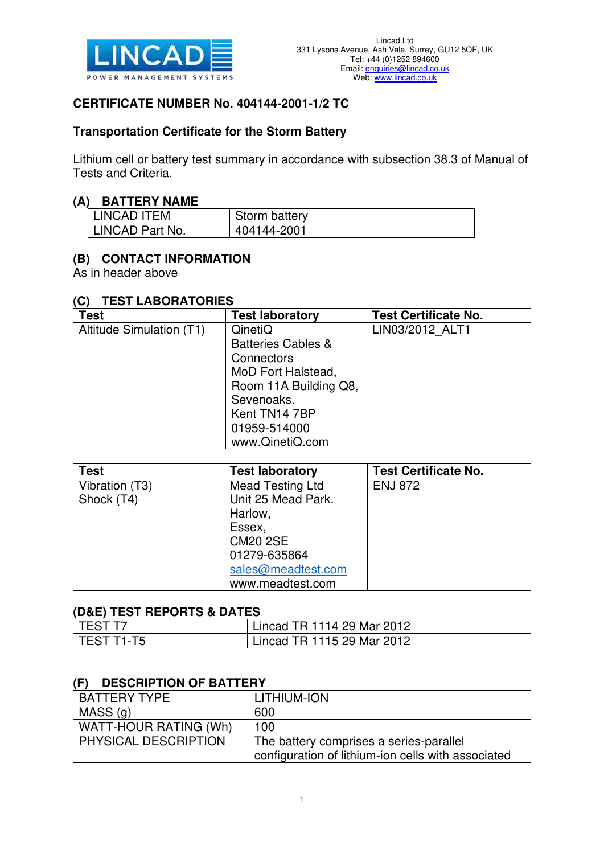

### **CERTIFICATE NUMBER No. 404144-2001-1/2 TC**

### **Transportation Certificate for the Storm Battery**

Lithium cell or battery test summary in accordance with subsection 38.3 of Manual of Tests and Criteria.

#### **(A) BATTERY NAME**

| <b>LINCAD ITEM</b> | Storm battery |
|--------------------|---------------|
| 'LINCAD Part No.   | 404144-2001   |

### **(B) CONTACT INFORMATION**

As in header above

#### **(C) TEST LABORATORIES**

| <b>Test</b>              | <b>Test laboratory</b>        | <b>Test Certificate No.</b> |
|--------------------------|-------------------------------|-----------------------------|
| Altitude Simulation (T1) | QinetiQ                       | LIN03/2012 ALT1             |
|                          | <b>Batteries Cables &amp;</b> |                             |
|                          | Connectors                    |                             |
|                          | MoD Fort Halstead,            |                             |
|                          | Room 11A Building Q8,         |                             |
|                          | Sevenoaks.                    |                             |
|                          | Kent TN14 7BP                 |                             |
|                          | 01959-514000                  |                             |
|                          | www.QinetiQ.com               |                             |

| <b>Test</b>    | <b>Test laboratory</b> | <b>Test Certificate No.</b> |
|----------------|------------------------|-----------------------------|
| Vibration (T3) | Mead Testing Ltd       | <b>ENJ 872</b>              |
| Shock (T4)     | Unit 25 Mead Park.     |                             |
|                | Harlow,                |                             |
|                | Essex,                 |                             |
|                | <b>CM20 2SE</b>        |                             |
|                | 01279-635864           |                             |
|                | sales@meadtest.com     |                             |
|                | www.meadtest.com       |                             |

#### **(D&E) TEST REPORTS & DATES**

| l TEST T7    | Lincad TR 1114 29 Mar 2012 |
|--------------|----------------------------|
| l TEST T1-T5 | Lincad TR 1115 29 Mar 2012 |

#### **(F) DESCRIPTION OF BATTERY**

| <b>BATTERY TYPE</b>   | LITHIUM-ION                                        |
|-----------------------|----------------------------------------------------|
| MASS(Q)               | 600                                                |
| WATT-HOUR RATING (Wh) | 100                                                |
| PHYSICAL DESCRIPTION  | The battery comprises a series-parallel            |
|                       | configuration of lithium-ion cells with associated |